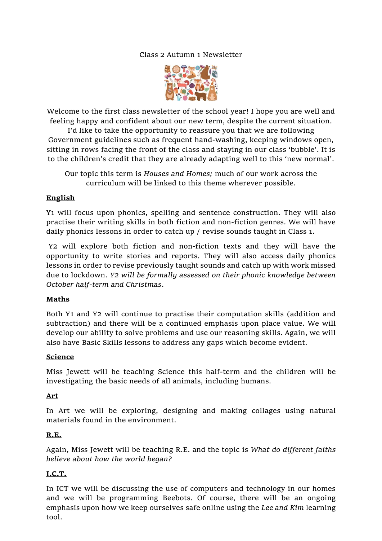### Class 2 Autumn 1 Newsletter



Welcome to the first class newsletter of the school year! I hope you are well and feeling happy and confident about our new term, despite the current situation.

I'd like to take the opportunity to reassure you that we are following Government guidelines such as frequent hand-washing, keeping windows open, sitting in rows facing the front of the class and staying in our class 'bubble'. It is to the children's credit that they are already adapting well to this 'new normal'.

Our topic this term is *Houses and Homes;* much of our work across the curriculum will be linked to this theme wherever possible.

### **English**

Y1 will focus upon phonics, spelling and sentence construction. They will also practise their writing skills in both fiction and non-fiction genres. We will have daily phonics lessons in order to catch up / revise sounds taught in Class 1.

Y2 will explore both fiction and non-fiction texts and they will have the opportunity to write stories and reports. They will also access daily phonics lessons in order to revise previously taught sounds and catch up with work missed due to lockdown. *Y2 will be formally assessed on their phonic knowledge between October half-term and Christmas*.

### **Maths**

Both Y1 and Y2 will continue to practise their computation skills (addition and subtraction) and there will be a continued emphasis upon place value. We will develop our ability to solve problems and use our reasoning skills. Again, we will also have Basic Skills lessons to address any gaps which become evident.

### **Science**

Miss Jewett will be teaching Science this half-term and the children will be investigating the basic needs of all animals, including humans.

### **Art**

In Art we will be exploring, designing and making collages using natural materials found in the environment.

### **R.E.**

Again, Miss Jewett will be teaching R.E. and the topic is *What do different faiths believe about how the world began?*

# **I.C.T.**

In ICT we will be discussing the use of computers and technology in our homes and we will be programming Beebots. Of course, there will be an ongoing emphasis upon how we keep ourselves safe online using the *Lee and Kim* learning tool.